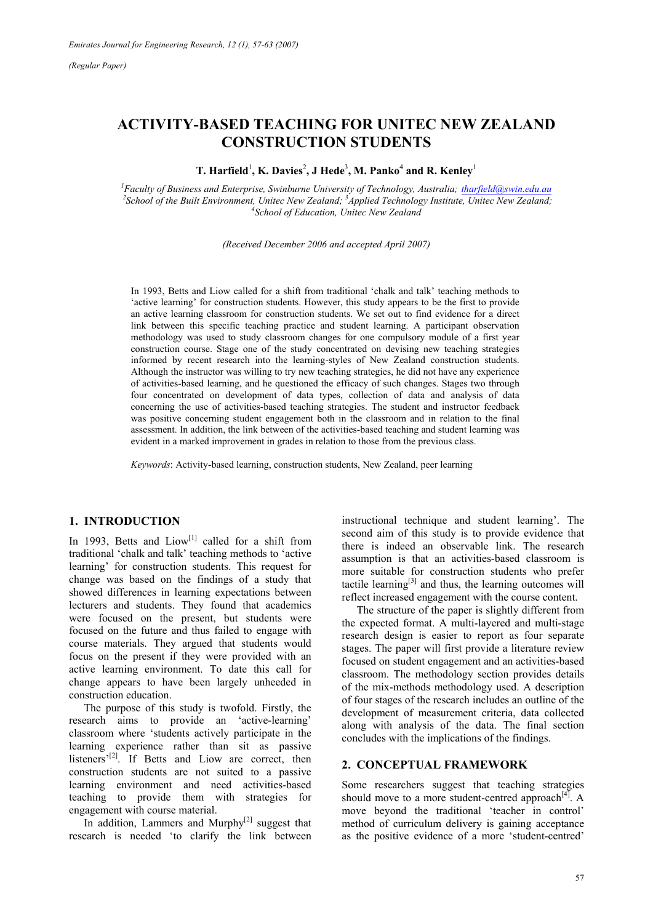# **ACTIVITY-BASED TEACHING FOR UNITEC NEW ZEALAND CONSTRUCTION STUDENTS**

 $\bf{T. \, Hartfield}^1, \bf{K. \, Davies}^2, \bf{J \, Hede}^3, \bf{M. \,} Panko^4, and \bf{R. \,} Kenley^1$ 

<sup>1</sup> Faculty of Business and Enterprise, Swinburne University of Technology, Australia; *tharfield@swin.edu.au*<br><sup>2</sup> Sebool of the Puilt Emvironment, United Now Zeeland: <sup>3</sup> Applied Technology Institute, United Now Zeeland: *School of the Built Environment, Unitec New Zealand; <sup>3</sup> Applied Technology Institute, Unitec New Zealand;*  $4$ School of Education, Unitec New Zealand; *45 Applied Technology Institute, Unitec New Zealand*; *School of Education, Unitec New Zealand* 

*(Received December 2006 and accepted April 2007)* 

In 1993, Betts and Liow called for a shift from traditional 'chalk and talk' teaching methods to 'active learning' for construction students. However, this study appears to be the first to provide an active learning classroom for construction students. We set out to find evidence for a direct link between this specific teaching practice and student learning. A participant observation methodology was used to study classroom changes for one compulsory module of a first year construction course. Stage one of the study concentrated on devising new teaching strategies informed by recent research into the learning-styles of New Zealand construction students. Although the instructor was willing to try new teaching strategies, he did not have any experience of activities-based learning, and he questioned the efficacy of such changes. Stages two through four concentrated on development of data types, collection of data and analysis of data concerning the use of activities-based teaching strategies. The student and instructor feedback was positive concerning student engagement both in the classroom and in relation to the final assessment. In addition, the link between of the activities-based teaching and student learning was evident in a marked improvement in grades in relation to those from the previous class.

*Keywords*: Activity-based learning, construction students, New Zealand, peer learning

#### **1. INTRODUCTION**

In 1993, Betts and  $Liow<sup>[1]</sup>$  called for a shift from traditional 'chalk and talk' teaching methods to 'active learning' for construction students. This request for change was based on the findings of a study that showed differences in learning expectations between lecturers and students. They found that academics were focused on the present, but students were focused on the future and thus failed to engage with course materials. They argued that students would focus on the present if they were provided with an active learning environment. To date this call for change appears to have been largely unheeded in construction education.

The purpose of this study is twofold. Firstly, the research aims to provide an 'active-learning' classroom where 'students actively participate in the learning experience rather than sit as passive listeners'<sup>[2]</sup>. If Betts and Liow are correct, then construction students are not suited to a passive learning environment and need activities-based teaching to provide them with strategies for engagement with course material.

In addition, Lammers and Murphy $[2]$  suggest that research is needed 'to clarify the link between instructional technique and student learning'. The second aim of this study is to provide evidence that there is indeed an observable link. The research assumption is that an activities-based classroom is more suitable for construction students who prefer tactile learning<sup>[3]</sup> and thus, the learning outcomes will reflect increased engagement with the course content.

The structure of the paper is slightly different from the expected format. A multi-layered and multi-stage research design is easier to report as four separate stages. The paper will first provide a literature review focused on student engagement and an activities-based classroom. The methodology section provides details of the mix-methods methodology used. A description of four stages of the research includes an outline of the development of measurement criteria, data collected along with analysis of the data. The final section concludes with the implications of the findings.

#### **2. CONCEPTUAL FRAMEWORK**

Some researchers suggest that teaching strategies should move to a more student-centred approach<sup>[4]</sup>. A move beyond the traditional 'teacher in control' method of curriculum delivery is gaining acceptance as the positive evidence of a more 'student-centred'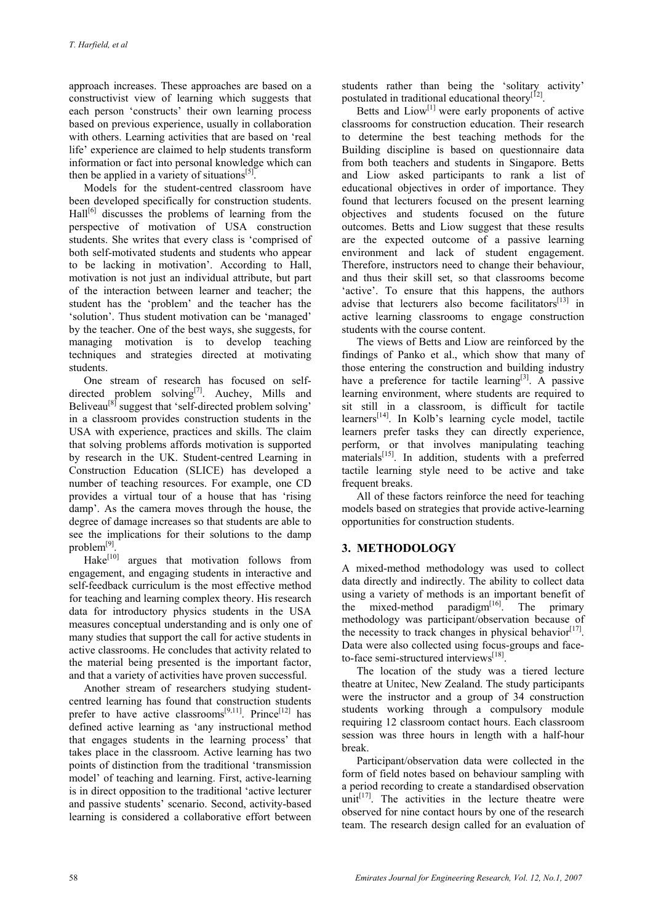approach increases. These approaches are based on a constructivist view of learning which suggests that each person 'constructs' their own learning process based on previous experience, usually in collaboration with others. Learning activities that are based on 'real life' experience are claimed to help students transform information or fact into personal knowledge which can then be applied in a variety of situations<sup>[5]</sup>.

Models for the student-centred classroom have been developed specifically for construction students.  $\text{Hall}^{[6]}$  discusses the problems of learning from the perspective of motivation of USA construction students. She writes that every class is 'comprised of both self-motivated students and students who appear to be lacking in motivation'. According to Hall, motivation is not just an individual attribute, but part of the interaction between learner and teacher; the student has the 'problem' and the teacher has the 'solution'. Thus student motivation can be 'managed' by the teacher. One of the best ways, she suggests, for managing motivation is to develop teaching techniques and strategies directed at motivating students.

One stream of research has focused on selfdirected problem solving<sup>[7]</sup>. Auchey, Mills and Beliveau<sup>[8]</sup> suggest that 'self-directed problem solving' in a classroom provides construction students in the USA with experience, practices and skills. The claim that solving problems affords motivation is supported by research in the UK. Student-centred Learning in Construction Education (SLICE) has developed a number of teaching resources. For example, one CD provides a virtual tour of a house that has 'rising damp'. As the camera moves through the house, the degree of damage increases so that students are able to see the implications for their solutions to the damp problem[9].

Hake<sup>[10]</sup> argues that motivation follows from engagement, and engaging students in interactive and self-feedback curriculum is the most effective method for teaching and learning complex theory. His research data for introductory physics students in the USA measures conceptual understanding and is only one of many studies that support the call for active students in active classrooms. He concludes that activity related to the material being presented is the important factor, and that a variety of activities have proven successful.

Another stream of researchers studying studentcentred learning has found that construction students prefer to have active classrooms $[9,11]$ . Prince $[12]$  has defined active learning as 'any instructional method that engages students in the learning process' that takes place in the classroom. Active learning has two points of distinction from the traditional 'transmission model' of teaching and learning. First, active-learning is in direct opposition to the traditional 'active lecturer and passive students' scenario. Second, activity-based learning is considered a collaborative effort between students rather than being the 'solitary activity' postulated in traditional educational theory<sup>[12]</sup>.

Betts and Liow<sup>[1]</sup> were early proponents of active classrooms for construction education. Their research to determine the best teaching methods for the Building discipline is based on questionnaire data from both teachers and students in Singapore. Betts and Liow asked participants to rank a list of educational objectives in order of importance. They found that lecturers focused on the present learning objectives and students focused on the future outcomes. Betts and Liow suggest that these results are the expected outcome of a passive learning environment and lack of student engagement. Therefore, instructors need to change their behaviour, and thus their skill set, so that classrooms become 'active'. To ensure that this happens, the authors advise that lecturers also become facilitators<sup>[13]</sup> in active learning classrooms to engage construction students with the course content.

The views of Betts and Liow are reinforced by the findings of Panko et al., which show that many of those entering the construction and building industry have a preference for tactile learning<sup>[3]</sup>. A passive learning environment, where students are required to sit still in a classroom, is difficult for tactile learners[14]. In Kolb's learning cycle model, tactile learners prefer tasks they can directly experience, perform, or that involves manipulating teaching materials<sup>[15]</sup>. In addition, students with a preferred tactile learning style need to be active and take frequent breaks.

All of these factors reinforce the need for teaching models based on strategies that provide active-learning opportunities for construction students.

## **3. METHODOLOGY**

A mixed-method methodology was used to collect data directly and indirectly. The ability to collect data using a variety of methods is an important benefit of the mixed-method paradigm $[16]$ . The primary methodology was participant/observation because of the necessity to track changes in physical behavior $[17]$ . Data were also collected using focus-groups and faceto-face semi-structured interviews<sup>[18]</sup>.

The location of the study was a tiered lecture theatre at Unitec, New Zealand. The study participants were the instructor and a group of 34 construction students working through a compulsory module requiring 12 classroom contact hours. Each classroom session was three hours in length with a half-hour break.

Participant/observation data were collected in the form of field notes based on behaviour sampling with a period recording to create a standardised observation unit<sup>[17]</sup>. The activities in the lecture theatre were observed for nine contact hours by one of the research team. The research design called for an evaluation of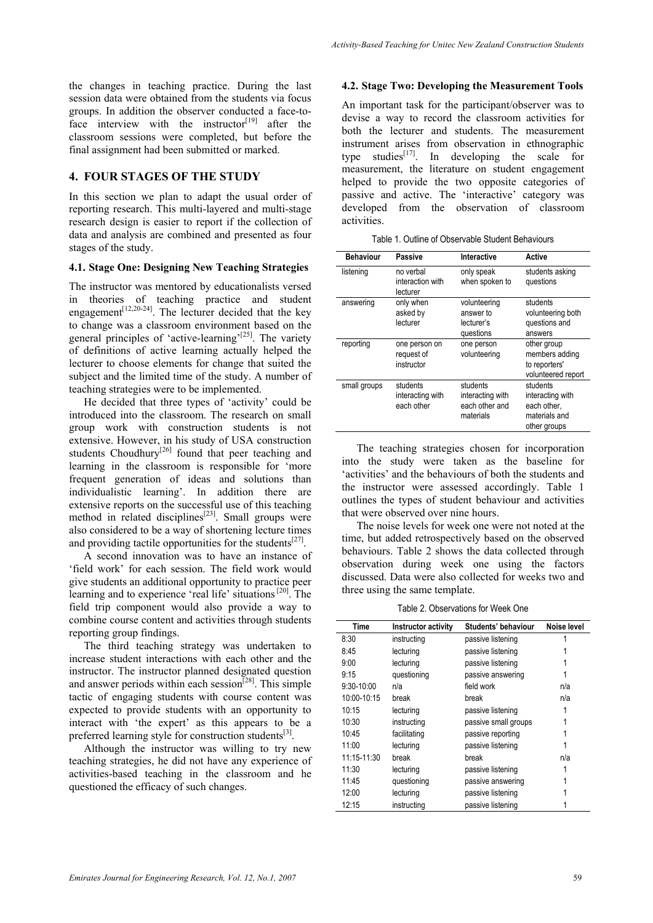the changes in teaching practice. During the last session data were obtained from the students via focus groups. In addition the observer conducted a face-toface interview with the instructor<sup>[19]</sup> after the classroom sessions were completed, but before the final assignment had been submitted or marked.

### **4. FOUR STAGES OF THE STUDY**

In this section we plan to adapt the usual order of reporting research. This multi-layered and multi-stage research design is easier to report if the collection of data and analysis are combined and presented as four stages of the study.

#### **4.1. Stage One: Designing New Teaching Strategies**

The instructor was mentored by educationalists versed in theories of teaching practice and student engagement<sup>[12,20-24]</sup>. The lecturer decided that the key to change was a classroom environment based on the general principles of 'active-learning'<sup>[25]</sup>. The variety of definitions of active learning actually helped the lecturer to choose elements for change that suited the subject and the limited time of the study. A number of teaching strategies were to be implemented.

He decided that three types of 'activity' could be introduced into the classroom. The research on small group work with construction students is not extensive. However, in his study of USA construction students Choudhury<sup>[26]</sup> found that peer teaching and learning in the classroom is responsible for 'more frequent generation of ideas and solutions than individualistic learning'. In addition there are extensive reports on the successful use of this teaching method in related disciplines<sup>[23]</sup>. Small groups were also considered to be a way of shortening lecture times and providing tactile opportunities for the students<sup>[27]</sup>.

A second innovation was to have an instance of 'field work' for each session. The field work would give students an additional opportunity to practice peer learning and to experience 'real life' situations [20]. The field trip component would also provide a way to combine course content and activities through students reporting group findings.

The third teaching strategy was undertaken to increase student interactions with each other and the instructor. The instructor planned designated question and answer periods within each session<sup>[28]</sup>. This simple tactic of engaging students with course content was expected to provide students with an opportunity to interact with 'the expert' as this appears to be a preferred learning style for construction students $^{[3]}$ .

Although the instructor was willing to try new teaching strategies, he did not have any experience of activities-based teaching in the classroom and he questioned the efficacy of such changes.

#### **4.2. Stage Two: Developing the Measurement Tools**

An important task for the participant/observer was to devise a way to record the classroom activities for both the lecturer and students. The measurement instrument arises from observation in ethnographic type studies<sup>[17]</sup>. In developing the scale for measurement, the literature on student engagement helped to provide the two opposite categories of passive and active. The 'interactive' category was developed from the observation of classroom activities.

Table 1. Outline of Observable Student Behaviours

| <b>Behaviour</b> | Passive                                    | Interactive                                                 | Active                                                                       |
|------------------|--------------------------------------------|-------------------------------------------------------------|------------------------------------------------------------------------------|
| listening        | no verbal<br>interaction with<br>lecturer  | only speak<br>when spoken to                                | students asking<br>questions                                                 |
| answering        | only when<br>asked by<br>lecturer          | volunteering<br>answer to<br>lecturer's<br>questions        | students<br>volunteering both<br>questions and<br>answers                    |
| reporting        | one person on<br>request of<br>instructor  | one person<br>volunteering                                  | other group<br>members adding<br>to reporters'<br>volunteered report         |
| small groups     | students<br>interacting with<br>each other | students<br>interacting with<br>each other and<br>materials | students<br>interacting with<br>each other,<br>materials and<br>other groups |

The teaching strategies chosen for incorporation into the study were taken as the baseline for 'activities' and the behaviours of both the students and the instructor were assessed accordingly. Table 1 outlines the types of student behaviour and activities that were observed over nine hours.

The noise levels for week one were not noted at the time, but added retrospectively based on the observed behaviours. Table 2 shows the data collected through observation during week one using the factors discussed. Data were also collected for weeks two and three using the same template.

Table 2. Observations for Week One

| Time         | Instructor activity | Students' behaviour  | Noise level |
|--------------|---------------------|----------------------|-------------|
| 8:30         | instructing         | passive listening    |             |
| 8:45         | lecturing           | passive listening    |             |
| 9:00         | lecturing           | passive listening    |             |
| 9:15         | questioning         | passive answering    |             |
| $9:30-10:00$ | n/a                 | field work           | n/a         |
| 10:00-10:15  | break               | break                | n/a         |
| 10:15        | lecturing           | passive listening    |             |
| 10:30        | instructing         | passive small groups |             |
| 10:45        | facilitating        | passive reporting    |             |
| 11:00        | lecturing           | passive listening    |             |
| 11:15-11:30  | break               | break                | n/a         |
| 11:30        | lecturing           | passive listening    |             |
| 11:45        | questioning         | passive answering    |             |
| 12:00        | lecturing           | passive listening    |             |
| 12:15        | instructing         | passive listening    |             |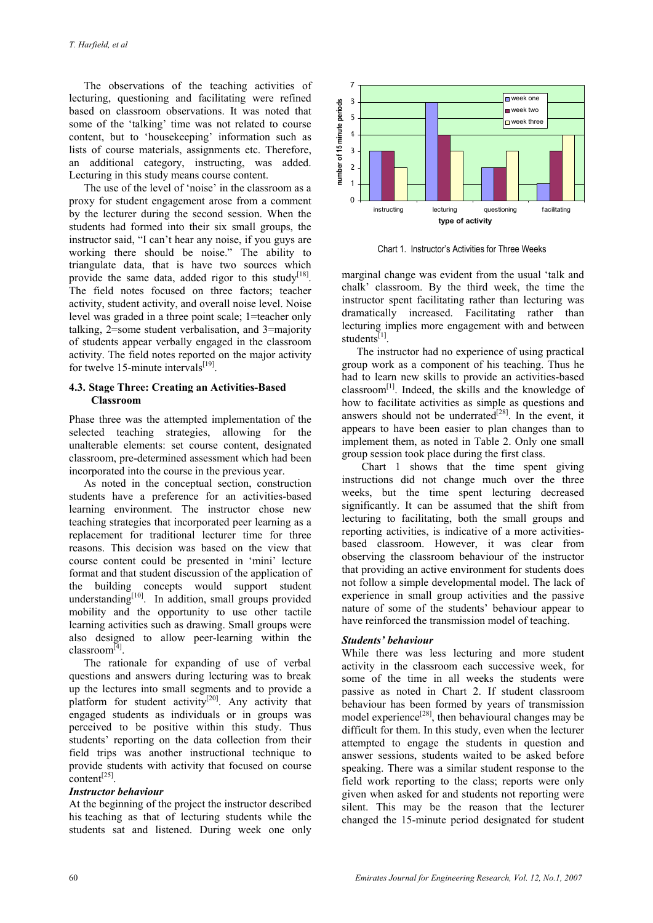The observations of the teaching activities of lecturing, questioning and facilitating were refined based on classroom observations. It was noted that some of the 'talking' time was not related to course content, but to 'housekeeping' information such as lists of course materials, assignments etc. Therefore, an additional category, instructing, was added. Lecturing in this study means course content.

The use of the level of 'noise' in the classroom as a proxy for student engagement arose from a comment by the lecturer during the second session. When the students had formed into their six small groups, the instructor said, "I can't hear any noise, if you guys are working there should be noise." The ability to triangulate data, that is have two sources which provide the same data, added rigor to this study<sup>[18]</sup>. The field notes focused on three factors; teacher activity, student activity, and overall noise level. Noise level was graded in a three point scale; 1=teacher only talking, 2=some student verbalisation, and 3=majority of students appear verbally engaged in the classroom activity. The field notes reported on the major activity for twelve 15-minute intervals $^{[19]}$ .

#### **4.3. Stage Three: Creating an Activities-Based Classroom**

Phase three was the attempted implementation of the selected teaching strategies, allowing for the unalterable elements: set course content, designated classroom, pre-determined assessment which had been incorporated into the course in the previous year.

As noted in the conceptual section, construction students have a preference for an activities-based learning environment. The instructor chose new teaching strategies that incorporated peer learning as a replacement for traditional lecturer time for three reasons. This decision was based on the view that course content could be presented in 'mini' lecture format and that student discussion of the application of the building concepts would support student understanding $[10]$ . In addition, small groups provided mobility and the opportunity to use other tactile learning activities such as drawing. Small groups were also designed to allow peer-learning within the classroom[4].

The rationale for expanding of use of verbal questions and answers during lecturing was to break up the lectures into small segments and to provide a platform for student activity<sup>[20]</sup>. Any activity that engaged students as individuals or in groups was perceived to be positive within this study. Thus students' reporting on the data collection from their field trips was another instructional technique to provide students with activity that focused on course content[25].

#### *Instructor behaviour*

At the beginning of the project the instructor described his teaching as that of lecturing students while the students sat and listened. During week one only



Chart 1. Instructor's Activities for Three Weeks

marginal change was evident from the usual 'talk and chalk' classroom. By the third week, the time the instructor spent facilitating rather than lecturing was dramatically increased. Facilitating rather than lecturing implies more engagement with and between students $^{[1]}$ .

The instructor had no experience of using practical group work as a component of his teaching. Thus he had to learn new skills to provide an activities-based  $classroom<sup>[1]</sup>$ . Indeed, the skills and the knowledge of how to facilitate activities as simple as questions and answers should not be underrated<sup>[28]</sup>. In the event, it appears to have been easier to plan changes than to implement them, as noted in Table 2. Only one small group session took place during the first class.

Chart 1 shows that the time spent giving instructions did not change much over the three weeks, but the time spent lecturing decreased significantly. It can be assumed that the shift from lecturing to facilitating, both the small groups and reporting activities, is indicative of a more activitiesbased classroom. However, it was clear from observing the classroom behaviour of the instructor that providing an active environment for students does not follow a simple developmental model. The lack of experience in small group activities and the passive nature of some of the students' behaviour appear to have reinforced the transmission model of teaching.

#### *Students' behaviour*

While there was less lecturing and more student activity in the classroom each successive week, for some of the time in all weeks the students were passive as noted in Chart 2. If student classroom behaviour has been formed by years of transmission model experience<sup>[28]</sup>, then behavioural changes may be difficult for them. In this study, even when the lecturer attempted to engage the students in question and answer sessions, students waited to be asked before speaking. There was a similar student response to the field work reporting to the class; reports were only given when asked for and students not reporting were silent. This may be the reason that the lecturer changed the 15-minute period designated for student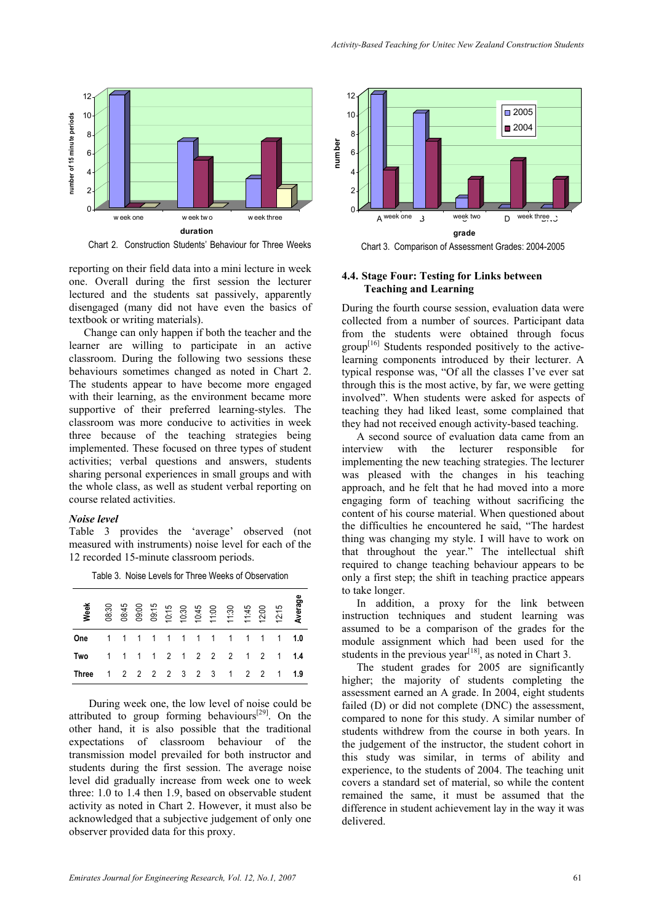

Chart 2. Construction Students' Behaviour for Three Weeks

reporting on their field data into a mini lecture in week one. Overall during the first session the lecturer lectured and the students sat passively, apparently disengaged (many did not have even the basics of textbook or writing materials).

Change can only happen if both the teacher and the learner are willing to participate in an active classroom. During the following two sessions these behaviours sometimes changed as noted in Chart 2. The students appear to have become more engaged with their learning, as the environment became more supportive of their preferred learning-styles. The classroom was more conducive to activities in week three because of the teaching strategies being implemented. These focused on three types of student activities; verbal questions and answers, students sharing personal experiences in small groups and with the whole class, as well as student verbal reporting on course related activities.

#### *Noise level*

Table 3 provides the 'average' observed (not measured with instruments) noise level for each of the 12 recorded 15-minute classroom periods.

Table 3. Noise Levels for Three Weeks of Observation

| <b>Week</b> | 08:30                   |  |  |  | 88:45<br>09:00<br>09:15<br>09:30<br>09:30<br>09:45<br>09:45<br>09:45<br>09:45<br>09:45<br>09:45<br>09:45<br>09:45<br>09:45<br>09:45<br>20:50 |  | 12:15                       | Average |
|-------------|-------------------------|--|--|--|----------------------------------------------------------------------------------------------------------------------------------------------|--|-----------------------------|---------|
| One         |                         |  |  |  |                                                                                                                                              |  |                             |         |
| Two         |                         |  |  |  |                                                                                                                                              |  | 1 1 1 1 2 1 2 2 2 1 2 1 1.4 |         |
| Three       | 1 2 2 2 2 3 2 3 1 2 2 1 |  |  |  |                                                                                                                                              |  |                             | 1.9     |

During week one, the low level of noise could be attributed to group forming behaviours<sup>[29]</sup>. On the other hand, it is also possible that the traditional expectations of classroom behaviour of the transmission model prevailed for both instructor and students during the first session. The average noise level did gradually increase from week one to week three: 1.0 to 1.4 then 1.9, based on observable student activity as noted in Chart 2. However, it must also be acknowledged that a subjective judgement of only one observer provided data for this proxy.



**4.4. Stage Four: Testing for Links between Teaching and Learning** 

During the fourth course session, evaluation data were collected from a number of sources. Participant data from the students were obtained through focus  $group^{[16]}$  Students responded positively to the activelearning components introduced by their lecturer. A typical response was, "Of all the classes I've ever sat through this is the most active, by far, we were getting involved". When students were asked for aspects of teaching they had liked least, some complained that they had not received enough activity-based teaching.

A second source of evaluation data came from an interview with the lecturer responsible for implementing the new teaching strategies. The lecturer was pleased with the changes in his teaching approach, and he felt that he had moved into a more engaging form of teaching without sacrificing the content of his course material. When questioned about the difficulties he encountered he said, "The hardest thing was changing my style. I will have to work on that throughout the year." The intellectual shift required to change teaching behaviour appears to be only a first step; the shift in teaching practice appears to take longer.

In addition, a proxy for the link between instruction techniques and student learning was assumed to be a comparison of the grades for the module assignment which had been used for the students in the previous year<sup>[18]</sup>, as noted in Chart 3.

The student grades for 2005 are significantly higher; the majority of students completing the assessment earned an A grade. In 2004, eight students failed (D) or did not complete (DNC) the assessment, compared to none for this study. A similar number of students withdrew from the course in both years. In the judgement of the instructor, the student cohort in this study was similar, in terms of ability and experience, to the students of 2004. The teaching unit covers a standard set of material, so while the content remained the same, it must be assumed that the difference in student achievement lay in the way it was delivered.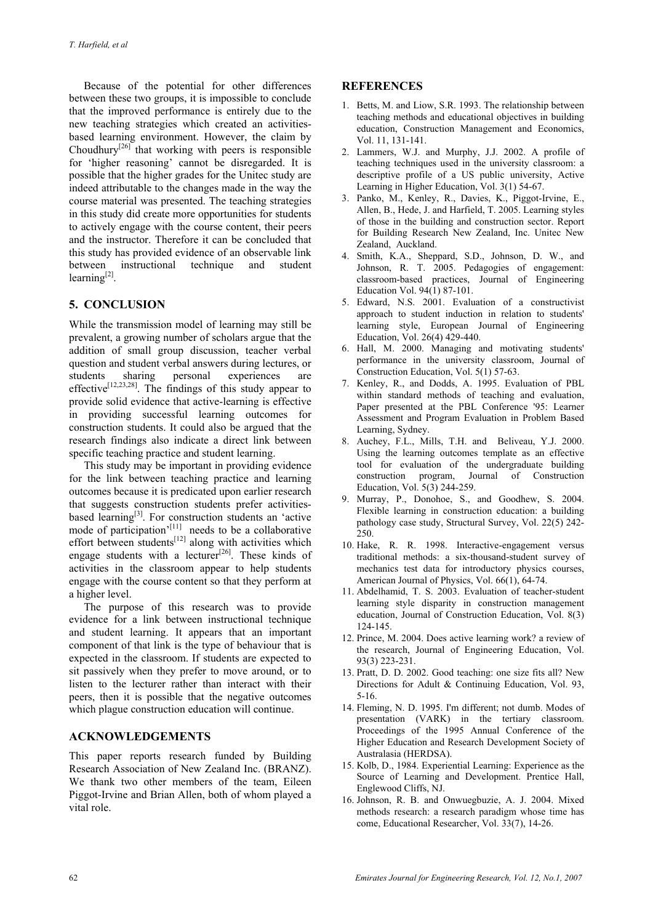Because of the potential for other differences between these two groups, it is impossible to conclude that the improved performance is entirely due to the new teaching strategies which created an activitiesbased learning environment. However, the claim by Choudhury<sup>[26]</sup> that working with peers is responsible for 'higher reasoning' cannot be disregarded. It is possible that the higher grades for the Unitec study are indeed attributable to the changes made in the way the course material was presented. The teaching strategies in this study did create more opportunities for students to actively engage with the course content, their peers and the instructor. Therefore it can be concluded that this study has provided evidence of an observable link between instructional technique and student learning $[2]$ .

### **5. CONCLUSION**

While the transmission model of learning may still be prevalent, a growing number of scholars argue that the addition of small group discussion, teacher verbal question and student verbal answers during lectures, or students sharing personal experiences are effective<sup>[12,23,28]</sup>. The findings of this study appear to provide solid evidence that active-learning is effective in providing successful learning outcomes for construction students. It could also be argued that the research findings also indicate a direct link between specific teaching practice and student learning.

This study may be important in providing evidence for the link between teaching practice and learning outcomes because it is predicated upon earlier research that suggests construction students prefer activitiesbased learning<sup>[3]</sup>. For construction students an 'active mode of participation'<sup>[11]</sup> needs to be a collaborative effort between students<sup>[12]</sup> along with activities which engage students with a lecturer $[26]$ . These kinds of activities in the classroom appear to help students engage with the course content so that they perform at a higher level.

The purpose of this research was to provide evidence for a link between instructional technique and student learning. It appears that an important component of that link is the type of behaviour that is expected in the classroom. If students are expected to sit passively when they prefer to move around, or to listen to the lecturer rather than interact with their peers, then it is possible that the negative outcomes which plague construction education will continue.

#### **ACKNOWLEDGEMENTS**

This paper reports research funded by Building Research Association of New Zealand Inc. (BRANZ). We thank two other members of the team, Eileen Piggot-Irvine and Brian Allen, both of whom played a vital role.

#### **REFERENCES**

- 1. Betts, M. and Liow, S.R. 1993. The relationship between teaching methods and educational objectives in building education, Construction Management and Economics, Vol. 11, 131-141.
- 2. Lammers, W.J. and Murphy, J.J. 2002. A profile of teaching techniques used in the university classroom: a descriptive profile of a US public university, Active Learning in Higher Education, Vol. 3(1) 54-67.
- 3. Panko, M., Kenley, R., Davies, K., Piggot-Irvine, E., Allen, B., Hede, J. and Harfield, T. 2005. Learning styles of those in the building and construction sector. Report for Building Research New Zealand, Inc. Unitec New Zealand, Auckland.
- 4. Smith, K.A., Sheppard, S.D., Johnson, D. W., and Johnson, R. T. 2005. Pedagogies of engagement: classroom-based practices, Journal of Engineering Education Vol. 94(1) 87-101.
- 5. Edward, N.S. 2001. Evaluation of a constructivist approach to student induction in relation to students' learning style, European Journal of Engineering Education, Vol. 26(4) 429-440.
- 6. Hall, M. 2000. Managing and motivating students' performance in the university classroom, Journal of Construction Education, Vol. 5(1) 57-63.
- 7. Kenley, R., and Dodds, A. 1995. Evaluation of PBL within standard methods of teaching and evaluation, Paper presented at the PBL Conference '95: Learner Assessment and Program Evaluation in Problem Based Learning, Sydney.
- 8. Auchey, F.L., Mills, T.H. and Beliveau, Y.J. 2000. Using the learning outcomes template as an effective tool for evaluation of the undergraduate building construction program, Journal of Construction Education, Vol. 5(3) 244-259.
- 9. Murray, P., Donohoe, S., and Goodhew, S. 2004. Flexible learning in construction education: a building pathology case study, Structural Survey, Vol. 22(5) 242- 250.
- 10. Hake, R. R. 1998. Interactive-engagement versus traditional methods: a six-thousand-student survey of mechanics test data for introductory physics courses, American Journal of Physics, Vol. 66(1), 64-74.
- 11. Abdelhamid, T. S. 2003. Evaluation of teacher-student learning style disparity in construction management education, Journal of Construction Education, Vol. 8(3) 124-145.
- 12. Prince, M. 2004. Does active learning work? a review of the research, Journal of Engineering Education, Vol. 93(3) 223-231.
- 13. Pratt, D. D. 2002. Good teaching: one size fits all? New Directions for Adult & Continuing Education, Vol. 93, 5-16.
- 14. Fleming, N. D. 1995. I'm different; not dumb. Modes of presentation (VARK) in the tertiary classroom. Proceedings of the 1995 Annual Conference of the Higher Education and Research Development Society of Australasia (HERDSA).
- 15. Kolb, D., 1984. Experiential Learning: Experience as the Source of Learning and Development. Prentice Hall, Englewood Cliffs, NJ.
- 16. Johnson, R. B. and Onwuegbuzie, A. J. 2004. Mixed methods research: a research paradigm whose time has come, Educational Researcher, Vol. 33(7), 14-26.